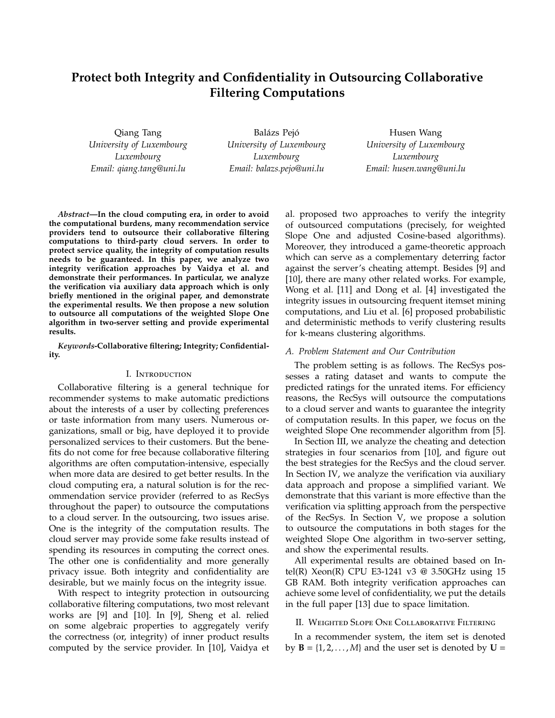# **Protect both Integrity and Confidentiality in Outsourcing Collaborative Filtering Computations**

Qiang Tang *University of Luxembourg Luxembourg Email: qiang.tang@uni.lu*

Balázs Pejó *University of Luxembourg Luxembourg Email: balazs.pejo@uni.lu*

Husen Wang *University of Luxembourg Luxembourg Email: husen.wang@uni.lu*

*Abstract***—In the cloud computing era, in order to avoid the computational burdens, many recommendation service providers tend to outsource their collaborative filtering computations to third-party cloud servers. In order to protect service quality, the integrity of computation results needs to be guaranteed. In this paper, we analyze two integrity verification approaches by Vaidya et al. and demonstrate their performances. In particular, we analyze the verification via auxiliary data approach which is only briefly mentioned in the original paper, and demonstrate the experimental results. We then propose a new solution to outsource all computations of the weighted Slope One algorithm in two-server setting and provide experimental results.**

*Keywords***-Collaborative filtering; Integrity; Confidentiality.**

## I. Introduction

Collaborative filtering is a general technique for recommender systems to make automatic predictions about the interests of a user by collecting preferences or taste information from many users. Numerous organizations, small or big, have deployed it to provide personalized services to their customers. But the benefits do not come for free because collaborative filtering algorithms are often computation-intensive, especially when more data are desired to get better results. In the cloud computing era, a natural solution is for the recommendation service provider (referred to as RecSys throughout the paper) to outsource the computations to a cloud server. In the outsourcing, two issues arise. One is the integrity of the computation results. The cloud server may provide some fake results instead of spending its resources in computing the correct ones. The other one is confidentiality and more generally privacy issue. Both integrity and confidentiality are desirable, but we mainly focus on the integrity issue.

With respect to integrity protection in outsourcing collaborative filtering computations, two most relevant works are [9] and [10]. In [9], Sheng et al. relied on some algebraic properties to aggregately verify the correctness (or, integrity) of inner product results computed by the service provider. In [10], Vaidya et al. proposed two approaches to verify the integrity of outsourced computations (precisely, for weighted Slope One and adjusted Cosine-based algorithms). Moreover, they introduced a game-theoretic approach which can serve as a complementary deterring factor against the server's cheating attempt. Besides [9] and [10], there are many other related works. For example, Wong et al. [11] and Dong et al. [4] investigated the integrity issues in outsourcing frequent itemset mining computations, and Liu et al. [6] proposed probabilistic and deterministic methods to verify clustering results for k-means clustering algorithms.

#### *A. Problem Statement and Our Contribution*

The problem setting is as follows. The RecSys possesses a rating dataset and wants to compute the predicted ratings for the unrated items. For efficiency reasons, the RecSys will outsource the computations to a cloud server and wants to guarantee the integrity of computation results. In this paper, we focus on the weighted Slope One recommender algorithm from [5].

In Section III, we analyze the cheating and detection strategies in four scenarios from [10], and figure out the best strategies for the RecSys and the cloud server. In Section IV, we analyze the verification via auxiliary data approach and propose a simplified variant. We demonstrate that this variant is more effective than the verification via splitting approach from the perspective of the RecSys. In Section V, we propose a solution to outsource the computations in both stages for the weighted Slope One algorithm in two-server setting, and show the experimental results.

All experimental results are obtained based on Intel(R) Xeon(R) CPU E3-1241 v3 @ 3.50GHz using 15 GB RAM. Both integrity verification approaches can achieve some level of confidentiality, we put the details in the full paper [13] due to space limitation.

# II. Weighted Slope One Collaborative Filtering

In a recommender system, the item set is denoted by  $\mathbf{B} = \{1, 2, ..., M\}$  and the user set is denoted by  $\mathbf{U} =$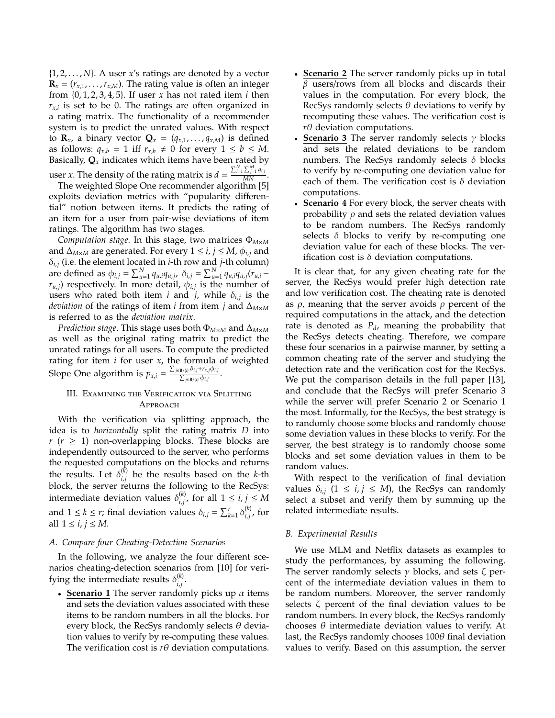{1, 2, . . . , *N*}. A user *x*'s ratings are denoted by a vector  $\mathbf{R}_x = (r_{x,1}, \dots, r_{x,M})$ . The rating value is often an integer from {0, 1, 2, 3, 4, 5}. If user *x* has not rated item *i* then *rx*,*<sup>i</sup>* is set to be 0. The ratings are often organized in a rating matrix. The functionality of a recommender system is to predict the unrated values. With respect to **R**<sub>*x*</sub>, a binary vector **Q**<sub>*x*</sub> = ( $q_{x,1}$ , ...,  $q_{x,M}$ ) is defined as follows:  $q_{x,b} = 1$  iff  $r_{x,b} \neq 0$  for every  $1 \leq b \leq M$ . Basically,  $Q_x$  indicates which items have been rated by user *x*. The density of the rating matrix is  $d = \frac{\sum_{i=1}^{N} \sum_{j=1}^{M} q_{i,j}}{MN}$ .

The weighted Slope One recommender algorithm [5] exploits deviation metrics with "popularity differential" notion between items. It predicts the rating of an item for a user from pair-wise deviations of item ratings. The algorithm has two stages.

*Computation stage*. In this stage, two matrices Φ*M*×*<sup>M</sup>* and  $\Delta_{M\times M}$  are generated. For every  $1 \le i, j \le M$ ,  $\phi_{i,j}$  and δ*i*,*<sup>j</sup>* (i.e. the element located in *i*-th row and *j*-th column) are defined as  $\phi_{i,j} = \sum_{u=1}^{N} q_{u,i} q_{u,j}$ ,  $\delta_{i,j} = \sum_{u=1}^{N} q_{u,i} q_{u,j} (r_{u,i} - r_{u,i})$  $r_{u,j}$ ) respectively. In more detail,  $\phi_{i,j}$  is the number of users who rated both item *i* and *j*, while δ*i*,*<sup>j</sup>* is the *deviation* of the ratings of item *i* from item *j* and ∆*M*×*<sup>M</sup>* is referred to as the *deviation matrix*.

*Prediction stage*. This stage uses both Φ*M*×*<sup>M</sup>* and ∆*M*×*<sup>M</sup>* as well as the original rating matrix to predict the unrated ratings for all users. To compute the predicted rating for item *i* for user *x*, the formula of weighted Slope One algorithm is  $p_{x,i} = \frac{\sum_{j \in B/(i)} \delta_{i,j} + r_{x,j} \phi_{i,j}}{\sum_{i \in B/(i)} \delta_{i,i}}$  $\frac{\sum_{j\in\mathbf{B}/\{i\}}\varphi_{i,j}\cdots\varphi_{i,j}}{\sum_{j\in\mathbf{B}/\{i\}}\varphi_{i,j}}$ .

# III. Examining the Verification via Splitting **APPROACH**

With the verification via splitting approach, the idea is to *horizontally* split the rating matrix *D* into  $r$  ( $r \geq 1$ ) non-overlapping blocks. These blocks are independently outsourced to the server, who performs the requested computations on the blocks and returns the results. Let  $\delta_{i,i}^{(k)}$ *i*,*j* be the results based on the *k*-th block, the server returns the following to the RecSys: intermediate deviation values  $\delta_{i,i}^{(k)}$  $i,j$ , for all 1 ≤ *i*, *j* ≤ *M* and  $1 \leq k \leq r$ ; final deviation values  $\delta_{i,j} = \sum_{k=1}^{r} \delta_{i,j}^{(k)}$ *i*,*j* , for all  $1 \le i, j \le M$ .

#### *A. Compare four Cheating-Detection Scenarios*

In the following, we analyze the four different scenarios cheating-detection scenarios from [10] for verifying the intermediate results  $\delta_{i,i}^{(k)}$ *i*,*j* .

• **Scenario 1** The server randomly picks up α items and sets the deviation values associated with these items to be random numbers in all the blocks. For every block, the RecSys randomly selects  $\theta$  deviation values to verify by re-computing these values. The verification cost is  $r\theta$  deviation computations.

- **Scenario 2** The server randomly picks up in total  $β$  users/rows from all blocks and discards their values in the computation. For every block, the RecSys randomly selects  $\theta$  deviations to verify by recomputing these values. The verification cost is *r*θ deviation computations.
- **Scenario 3** The server randomly selects  $\gamma$  blocks and sets the related deviations to be random numbers. The RecSys randomly selects  $\delta$  blocks to verify by re-computing one deviation value for each of them. The verification cost is  $\delta$  deviation computations.
- **Scenario 4** For every block, the server cheats with probability  $\rho$  and sets the related deviation values to be random numbers. The RecSys randomly selects  $\delta$  blocks to verify by re-computing one deviation value for each of these blocks. The verification cost is  $\delta$  deviation computations.

It is clear that, for any given cheating rate for the server, the RecSys would prefer high detection rate and low verification cost. The cheating rate is denoted as  $\rho$ , meaning that the server avoids  $\rho$  percent of the required computations in the attack, and the detection rate is denoted as  $P_d$ , meaning the probability that the RecSys detects cheating. Therefore, we compare these four scenarios in a pairwise manner, by setting a common cheating rate of the server and studying the detection rate and the verification cost for the RecSys. We put the comparison details in the full paper [13], and conclude that the RecSys will prefer Scenario 3 while the server will prefer Scenario 2 or Scenario 1 the most. Informally, for the RecSys, the best strategy is to randomly choose some blocks and randomly choose some deviation values in these blocks to verify. For the server, the best strategy is to randomly choose some blocks and set some deviation values in them to be random values.

With respect to the verification of final deviation values  $\delta_{i,j}$  (1  $\leq i, j \leq M$ ), the RecSys can randomly select a subset and verify them by summing up the related intermediate results.

## *B. Experimental Results*

We use MLM and Netflix datasets as examples to study the performances, by assuming the following. The server randomly selects  $\gamma$  blocks, and sets  $\zeta$  percent of the intermediate deviation values in them to be random numbers. Moreover, the server randomly selects ζ percent of the final deviation values to be random numbers. In every block, the RecSys randomly chooses  $\theta$  intermediate deviation values to verify. At last, the RecSys randomly chooses  $100\theta$  final deviation values to verify. Based on this assumption, the server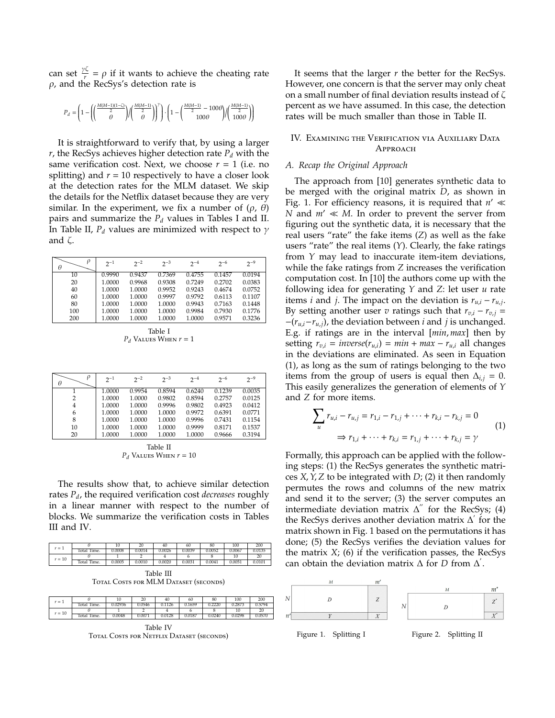can set  $\frac{\gamma\zeta}{r} = \rho$  if it wants to achieve the cheating rate  $\rho$ , and the RecSys's detection rate is

$$
P_d=\left(1-\left(\!\!\left(\frac{M(M-1)(1-\zeta)}{2}\right)\!\!\right/\!\!\left(\frac{M(M-1)}{2}\right)\!\!\right)^{\!\!\gamma}\right)\cdot\left(1-\left(\frac{M(M-1)}{2}-100\theta\right)\!\!\left/\!\!\left(\frac{M(M-1)}{2}\right)\!\!\right)
$$

It is straightforward to verify that, by using a larger  $r$ , the RecSys achieves higher detection rate  $P_d$  with the same verification cost. Next, we choose  $r = 1$  (i.e. no splitting) and  $r = 10$  respectively to have a closer look at the detection rates for the MLM dataset. We skip the details for the Netflix dataset because they are very similar. In the experiment, we fix a number of  $(\rho, \theta)$ pairs and summarize the *P<sup>d</sup>* values in Tables I and II. In Table II,  $P_d$  values are minimized with respect to  $\gamma$ and ζ.

| ρ<br>$2^{-1}$<br>$2^{-9}$<br>$2^{-3}$<br>$2^{-2}$<br>$2^{-6}$<br>$2^{-4}$<br>θ<br>10 |                            |                            |  |
|--------------------------------------------------------------------------------------|----------------------------|----------------------------|--|
|                                                                                      |                            |                            |  |
|                                                                                      | 0.9990<br>0.7369<br>0.9437 | 0.4755<br>0.0194<br>0.1457 |  |
| 20<br>1.0000<br>0.9968<br>0.9308<br>0.7249<br>0.2702                                 |                            | 0.0383                     |  |
| 40<br>0.9952<br>1.0000<br>1.0000<br>0.9243<br>0.4674                                 |                            | 0.0752                     |  |
| 60<br>1.0000<br>0.9997<br>1.0000<br>0.9792<br>0.6113                                 |                            | 0.1107                     |  |
| 80<br>1.0000<br>0.9943<br>1.0000<br>1.0000<br>0.7163                                 |                            | 0.1448                     |  |
| 100<br>1.0000<br>1.0000<br>1.0000<br>0.9984<br>0.7930                                |                            | 0.1776                     |  |
| 1.0000<br>1.0000<br>1.0000<br>1.0000<br>0.9571<br>200                                |                            | 0.3236                     |  |

Table I  $P_d$  Values When  $r = 1$ 

| θ  | $2^{-1}$ | $2^{-2}$ | $2^{-3}$ | $2^{-4}$ | $2^{-6}$ | $2^{-9}$ |
|----|----------|----------|----------|----------|----------|----------|
|    | 1.0000   | 0.9954   | 0.8594   | 0.6240   | 0.1239   | 0.0035   |
| 2  | 1.0000   | 1.0000   | 0.9802   | 0.8594   | 0.2757   | 0.0125   |
| 4  | 1.0000   | 1.0000   | 0.9996   | 0.9802   | 0.4923   | 0.0412   |
| 6  | 1.0000   | 1.0000   | 1.0000   | 0.9972   | 0.6391   | 0.0771   |
| 8  | 1.0000   | 1.0000   | 1.0000   | 0.9996   | 0.7431   | 0.1154   |
| 10 | 1.0000   | 1.0000   | 1.0000   | 0.9999   | 0.8171   | 0.1537   |
| 20 | 1.0000   | 1.0000   | 1.0000   | 1.0000   | 0.9666   | 0.3194   |
|    |          |          |          |          |          |          |

Table II  $P_d$  Values When  $r = 10$ 

The results show that, to achieve similar detection rates *Pd*, the required verification cost *decreases* roughly in a linear manner with respect to the number of blocks. We summarize the verification costs in Tables III and IV.

| $r=1$    |             |        |        |        | 60     | 80     | 100    | 200    |
|----------|-------------|--------|--------|--------|--------|--------|--------|--------|
|          | Total Time. | .0008  | 0.0014 | 0.0026 | 0.0039 | 0.0052 | 0.0067 |        |
| $r = 10$ |             |        |        |        |        |        |        | $\sim$ |
|          | Total Time. | J.0005 | 0.0010 | 0.0020 | 0.0031 | 0.0041 | 0.0051 |        |

Table III TOTAL COSTS FOR MLM DATASET (SECONDS)

| $r=1$    |                |         | 20     | 40     | 60     | 80     | 100    | 200    |
|----------|----------------|---------|--------|--------|--------|--------|--------|--------|
|          | Time.<br>otal  | 0.02936 | 0.0546 | 0.1126 | 0.1659 | 0.2220 | 0.2873 | 0.5794 |
| $r = 10$ |                |         |        |        |        |        |        | 20     |
|          | Time.<br>Total | 0.0048  | 0.0071 | 0.0128 | 0.0187 | 0.0240 | 0.0298 | 0.0570 |

Table IV Total Costs for Netflix Dataset (seconds)

It seems that the larger *r* the better for the RecSys. However, one concern is that the server may only cheat on a small number of final deviation results instead of ζ percent as we have assumed. In this case, the detection rates will be much smaller than those in Table II.

## IV. Examining the Verification via Auxiliary Data **APPROACH**

## *A. Recap the Original Approach*

The approach from [10] generates synthetic data to be merged with the original matrix *D*, as shown in Fig. 1. For efficiency reasons, it is required that  $n' \ll$ *N* and  $m' \ll M$ . In order to prevent the server from figuring out the synthetic data, it is necessary that the real users "rate" the fake items (*Z*) as well as the fake users "rate" the real items (*Y*). Clearly, the fake ratings from *Y* may lead to inaccurate item-item deviations, while the fake ratings from *Z* increases the verification computation cost. In [10] the authors come up with the following idea for generating *Y* and *Z*: let user *u* rate items *i* and *j*. The impact on the deviation is  $r_{u,i} - r_{u,j}$ . By setting another user *v* ratings such that  $r_{v,i} - r_{v,j} =$ −(*ru*,*i*−*ru*,*j*), the deviation between *i* and *j* is unchanged. E.g. if ratings are in the interval [*min*, *max*] then by setting  $r_{v,i} = inverse(r_{u,i}) = min + max - r_{u,i}$  all changes in the deviations are eliminated. As seen in Equation (1), as long as the sum of ratings belonging to the two items from the group of users is equal then  $\Delta_{i,j} = 0$ . This easily generalizes the generation of elements of *Y* and *Z* for more items.

$$
\sum_{u} r_{u,i} - r_{u,j} = r_{1,i} - r_{1,j} + \dots + r_{k,i} - r_{k,j} = 0
$$
  

$$
\Rightarrow r_{1,i} + \dots + r_{k,i} = r_{1,j} + \dots + r_{k,j} = \gamma
$$
 (1)

Formally, this approach can be applied with the following steps: (1) the RecSys generates the synthetic matrices *X*,*Y*,*Z* to be integrated with *D*; (2) it then randomly permutes the rows and columns of the new matrix and send it to the server; (3) the server computes an intermediate deviation matrix  $\Delta$ <sup>"</sup> for the RecSys; (4) the RecSys derives another deviation matrix  $\Delta'$  for the matrix shown in Fig. 1 based on the permutations it has done; (5) the RecSys verifies the deviation values for the matrix *X*; (6) if the verification passes, the RecSys can obtain the deviation matrix  $\Delta$  for *D* from  $\Delta'$ .

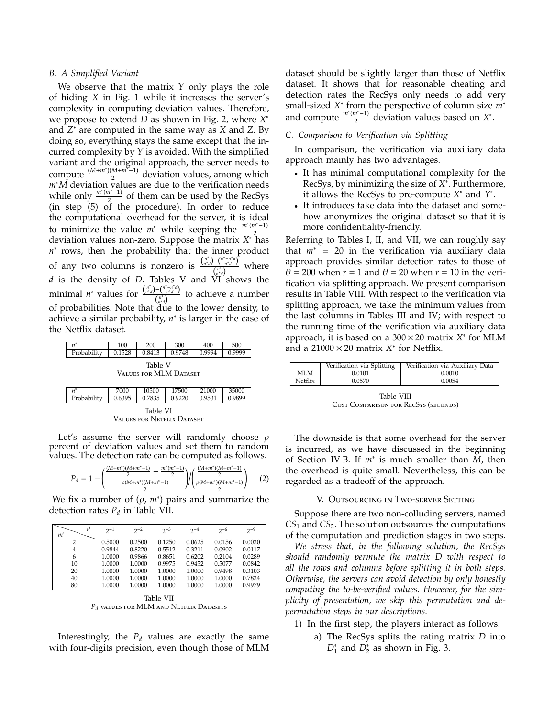## *B. A Simplified Variant*

We observe that the matrix *Y* only plays the role of hiding *X* in Fig. 1 while it increases the server's complexity in computing deviation values. Therefore, we propose to extend *D* as shown in Fig. 2, where *X* ∗ and *Z* <sup>∗</sup> are computed in the same way as *X* and *Z*. By doing so, everything stays the same except that the incurred complexity by *Y* is avoided. With the simplified variant and the original approach, the server needs to compute  $\frac{(M+m^*)(M+m^2-1)}{2}$  $\frac{2(n+m-1)}{2}$  deviation values, among which *m*∗*M* deviation values are due to the verification needs while only *<sup>m</sup>*<sup>∗</sup> (*m*∗−1)  $\frac{n-1}{2}$  of them can be used by the RecSys (in step (5) of the procedure). In order to reduce the computational overhead for the server, it is ideal to minimize the value  $m^*$  while keeping the  $\frac{m^*(m^*-1)}{2}$ 2 deviation values non-zero. Suppose the matrix *X* <sup>∗</sup> has *n*<sup>∗</sup> rows, then the probability that the inner product of any two columns is nonzero is  $\frac{\binom{n^*}{n^*d} - \binom{n^* - n^*d}{n^*d}}{\binom{n^*}{n^*}}$  where  $\binom{n^*}{n^*d}$ *d* is the density of *D*. Tables V and VI shows the minimal  $n^*$  values for  $\frac{\binom{n^*}{n^*}}{n^*}$ *n*<sup>\*</sup>*d*)−(<sup>*n*\*−*n*<sup>\**d*</sup>)</sup> to achieve a number  $\binom{n^*}{n^*d}$ of probabilities. Note that due to the lower density, to achieve a similar probability, *n* ∗ is larger in the case of the Netflix dataset.

| $n^*$       | 100    | 200     | 300                    | 400    | 500    |
|-------------|--------|---------|------------------------|--------|--------|
| Probability | 0.1528 | 0.8413  | 0.9748                 | 0.9994 | 0.9999 |
|             |        | Table V | VALUES FOR MLM DATASET |        |        |

| $n^*$       | 7000   | 10500   | 17500  | 21000  | 35000  |
|-------------|--------|---------|--------|--------|--------|
| Probability | 0.6395 | 0.7835  | 0.9220 | 0.9531 | 0.9899 |
|             |        | Table i | VЛ     |        |        |

Values for Netflix Dataset

Let's assume the server will randomly choose  $\rho$ percent of deviation values and set them to random values. The detection rate can be computed as follows.

$$
P_d = 1 - \left(\frac{\frac{(M+m^*)(M+m^*-1)}{2} - \frac{m^*(m^*-1)}{2}}{\frac{\rho(M+m^*)(M+m^*-1)}{2}}\right) / \left(\frac{\frac{(M+m^*)(M+m^*-1)}{2}}{\frac{\rho(M+m^*)(M+m^*-1)}{2}}\right) \tag{2}
$$

We fix a number of  $(\rho, m^*)$  pairs and summarize the detection rates  $P_d$  in Table VII.

| $m^*$ | $2^{-1}$ | $2^{-2}$ | $2^{-3}$ | $2^{-4}$ | $2^{-6}$ | $2^{-9}$ |
|-------|----------|----------|----------|----------|----------|----------|
| 2     | 0.5000   | 0.2500   | 0.1250   | 0.0625   | 0.0156   | 0.0020   |
| 4     | 0.9844   | 0.8220   | 0.5512   | 0.3211   | 0.0902   | 0.0117   |
| 6     | 1.0000   | 0.9866   | 0.8651   | 0.6202   | 0.2104   | 0.0289   |
| 10    | 1.0000   | 1.0000   | 0.9975   | 0.9452   | 0.5077   | 0.0842   |
| 20    | 1.0000   | 1.0000   | 1.0000   | 1.0000   | 0.9498   | 0.3103   |
| 40    | 1.0000   | 1.0000   | 1.0000   | 1.0000   | 1.0000   | 0.7824   |
| 80    | 1.0000   | 1.0000   | 1.0000   | 1.0000   | 1.0000   | 0.9979   |

Table VII *P<sup>d</sup>* values for MLM and Netflix Datasets

Interestingly, the  $P_d$  values are exactly the same with four-digits precision, even though those of MLM dataset should be slightly larger than those of Netflix dataset. It shows that for reasonable cheating and detection rates the RecSys only needs to add very small-sized *X* ∗ from the perspective of column size *m*<sup>∗</sup> and compute  $\frac{m^*(m^*-1)}{2}$  $\frac{n^{n}-1}{2}$  deviation values based on *X*<sup>\*</sup>.

## *C. Comparison to Verification via Splitting*

In comparison, the verification via auxiliary data approach mainly has two advantages.

- It has minimal computational complexity for the RecSys, by minimizing the size of *X* ∗ . Furthermore, it allows the RecSys to pre-compute *X* <sup>∗</sup> and *Y* ∗ .
- It introduces fake data into the dataset and somehow anonymizes the original dataset so that it is more confidentiality-friendly.

Referring to Tables I, II, and VII, we can roughly say that *m*<sup>∗</sup> = 20 in the verification via auxiliary data approach provides similar detection rates to those of  $\theta$  = 200 when *r* = 1 and  $\theta$  = 20 when *r* = 10 in the verification via splitting approach. We present comparison results in Table VIII. With respect to the verification via splitting approach, we take the minimum values from the last columns in Tables III and IV; with respect to the running time of the verification via auxiliary data approach, it is based on a 300 × 20 matrix *X* ∗ for MLM and a  $21000 \times 20$  matrix  $X^*$  for Netflix.

|         | Verification via Splitting | Verification via Auxiliary Data |
|---------|----------------------------|---------------------------------|
| MLM     | 0.0101                     | 0.0010                          |
| Netflix | 0.0570                     | 0.0054                          |

Table VIII Cost Comparison for RecSys (seconds)

The downside is that some overhead for the server is incurred, as we have discussed in the beginning of Section IV-B. If *m*<sup>∗</sup> is much smaller than *M*, then the overhead is quite small. Nevertheless, this can be regarded as a tradeoff of the approach.

#### V. Outsourcing in Two-server Setting

Suppose there are two non-colluding servers, named *CS*<sup>1</sup> and *CS*2. The solution outsources the computations of the computation and prediction stages in two steps.

*We stress that, in the following solution, the RecSys should randomly permute the matrix D with respect to all the rows and columns before splitting it in both steps. Otherwise, the servers can avoid detection by only honestly computing the to-be-verified values. However, for the simplicity of presentation, we skip this permutation and depermutation steps in our descriptions.*

- 1) In the first step, the players interact as follows.
	- a) The RecSys splits the rating matrix *D* into  $D_1^*$  and  $D_2^*$  as shown in Fig. 3.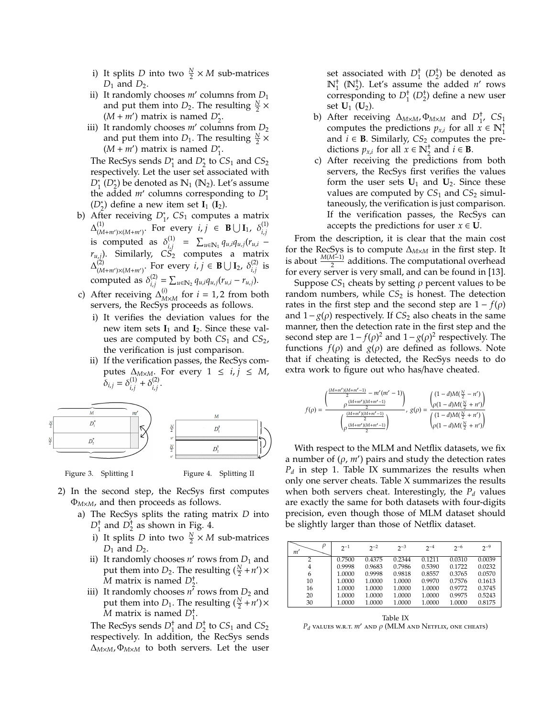- i) It splits *D* into two  $\frac{N}{2} \times M$  sub-matrices *D*<sup>1</sup> and *D*2.
- ii) It randomly chooses  $m'$  columns from  $D_1$ and put them into  $D_2$ . The resulting  $\frac{N}{2} \times$  $(M + m')$  matrix is named  $D_2^*$ .
- iii) It randomly chooses  $m'$  columns from  $D_2$ and put them into  $D_1$ . The resulting  $\frac{N}{2} \times$  $(M + m')$  matrix is named  $D_1^*$ .

The RecSys sends  $D_1^*$  and  $D_2^*$  to  $CS_1$  and  $CS_2$ respectively. Let the user set associated with  $D_1^*$  ( $D_2^*$ ) be denoted as  $\mathbb{N}_1$  ( $\mathbb{N}_2$ ). Let's assume the added *m'* columns corresponding to  $D_1^*$  $(D_2^*)$  define a new item set  $I_1(I_2)$ .

- b) After receiving *D*<sup>∗</sup> , *CS*<sup>1</sup> computes a matrix  $\Delta_{(M+m')\times (M+m')}^{(1)}$ . For every  $i, j \in B\cup I_1$ ,  $\delta_{i,j}^{(1)}$ *i*,*j* is computed as  $\delta_{i,i}^{(1)}$  $\sum_{i,j}^{(1)}$  =  $\sum_{u \in \mathbb{N}_1} q_{u,i} q_{u,j} (r_{u,i}$ *ru*,*j*). Similarly, *CS*<sup>2</sup> computes a matrix  $\Delta_{(M+m')\times (M+m')}^{(2)}$ . For every *i*, *j* ∈ **B** ∪ **I**<sub>2</sub>,  $\delta_{i,j}^{(2)}$  $\sum_{i,j}^{(2)}$  is computed as  $\delta_{i,i}^{(2)}$  $\sum_{i,j}^{(2)} = \sum_{u \in \mathbb{N}_2} q_{u,i} q_{u,j} (r_{u,i} - r_{u,j}).$
- c) After receiving  $\Delta_{M \times M}^{(i)}$  for *i* = 1, 2 from both servers, the RecSys proceeds as follows.
	- i) It verifies the deviation values for the new item sets  $I_1$  and  $I_2$ . Since these values are computed by both *CS*<sup>1</sup> and *CS*2, the verification is just comparison.
	- ii) If the verification passes, the RecSys computes  $\Delta_{M \times M}$ . For every 1 ≤ *i*, *j* ≤ *M*,  $\delta_{i,j} = \delta_{i,i}^{(1)}$  $i,j$ <sup>(1)</sup></sup> $\delta^{(2)}$ <sub>*i,j*</sub> *i*,*j* .





- 2) In the second step, the RecSys first computes Φ*M*×*M*, and then proceeds as follows.
	- a) The RecSys splits the rating matrix *D* into  $D_1^{\dagger}$  and  $D_2^{\dagger}$  as shown in Fig. 4.
		- i) It splits *D* into two  $\frac{N}{2} \times M$  sub-matrices  $D_1$  and  $D_2$ .
		- ii) It randomly chooses  $n'$  rows from  $D_1$  and put them into *D*<sub>2</sub>. The resulting  $(\frac{N}{2} + n') \times$  $\overline{M}$  matrix is named  $D_2^{\dagger}$ .
		- iii) It randomly chooses  $n^{\hat{i}}$  rows from  $D_2$  and put them into *D*<sub>1</sub>. The resulting  $(\frac{N}{2} + n') \times$  $\overline{M}$  matrix is named  $D_1^{\dagger}$ .

The RecSys sends  $D_1^{\dagger}$  and  $D_2^{\dagger}$  to  $CS_1$  and  $CS_2$ respectively. In addition, the RecSys sends  $\Delta_{M\times M}$ ,  $\Phi_{M\times M}$  to both servers. Let the user

set associated with  $D_1^{\dagger}$  ( $D_2^{\dagger}$ ) be denoted as  $\mathbb{N}_1^+$  ( $\mathbb{N}_2^+$ ). Let's assume the added *n'* rows corresponding to  $D_1^{\dagger}$  ( $D_2^{\dagger}$ ) define a new user set  $U_1$  ( $U_2$ ).

- b) After receiving  $\Delta_{M \times M}$ ,  $\Phi_{M \times M}$  and  $D_1^{\dagger}$ ,  $CS_1$ computes the predictions  $p_{x,i}$  for all  $x \in \mathbb{N}_1^+$ and  $i$  ∈ **B**. Similarly,  $CS_2$  computes the predictions  $p_{x,i}$  for all  $x \in \mathbb{N}_2^+$  and  $i \in \mathbf{B}$ .
- c) After receiving the predictions from both servers, the RecSys first verifies the values form the user sets  $U_1$  and  $U_2$ . Since these values are computed by  $CS_1$  and  $CS_2$  simultaneously, the verification is just comparison. If the verification passes, the RecSys can accepts the predictions for user  $x \in U$ .

From the description, it is clear that the main cost for the RecSys is to compute ∆*M*×*<sup>M</sup>* in the first step. It is about  $\frac{M(M-1)}{2}$  additions. The computational overhead for every server is very small, and can be found in [13].

Suppose  $CS_1$  cheats by setting  $\rho$  percent values to be random numbers, while  $CS_2$  is honest. The detection rates in the first step and the second step are  $1 - f(\rho)$ and  $1-g(\rho)$  respectively. If *CS*<sub>2</sub> also cheats in the same manner, then the detection rate in the first step and the second step are  $1 - f(\rho)^2$  and  $1 - g(\rho)^2$  respectively. The functions  $f(\rho)$  and  $g(\rho)$  are defined as follows. Note that if cheating is detected, the RecSys needs to do extra work to figure out who has/have cheated.

$$
f(\rho)=\frac{\binom{(M+m')(M+m'-1)}{2}-m'(m'-1)}{\rho\frac{(M+m')(M+m'-1)}{2}},\ g(\rho)=\frac{\binom{(1-d)M(\frac{N}{2}-n')}{\rho(1-d)M(\frac{N}{2}+n')}}{\binom{(M+m')(M+m'-1)}{2}},\ g(\rho)=\frac{\binom{(1-d)M(\frac{N}{2}+n')}{\rho(1-d)M(\frac{N}{2}+n')}}{\binom{(1-d)M(\frac{N}{2}+n')}{\rho(1-d)M(\frac{N}{2}+n')}}.
$$

With respect to the MLM and Netflix datasets, we fix a number of  $(\rho, m')$  pairs and study the detection rates  $P_d$  in step 1. Table IX summarizes the results when only one server cheats. Table X summarizes the results when both servers cheat. Interestingly, the  $P_d$  values are exactly the same for both datasets with four-digits precision, even though those of MLM dataset should be slightly larger than those of Netflix dataset.

| ρ<br>m' | $2^{-1}$ | $2^{-2}$ | $2^{-3}$ | $2^{-4}$ | $2^{-6}$ | $2^{-9}$ |
|---------|----------|----------|----------|----------|----------|----------|
| 2       | 0.7500   | 0.4375   | 0.2344   | 0.1211   | 0.0310   | 0.0039   |
| 4       | 0.9998   | 0.9683   | 0.7986   | 0.5390   | 0.1722   | 0.0232   |
| 6       | 1.0000   | 0.9998   | 0.9818   | 0.8557   | 0.3765   | 0.0570   |
| 10      | 1.0000   | 1.0000   | 1.0000   | 0.9970   | 0.7576   | 0.1613   |
| 16      | 1.0000   | 1.0000   | 1.0000   | 1.0000   | 0.9772   | 0.3745   |
| 20      | 1.0000   | 1.0000   | 1.0000   | 1.0000   | 0.9975   | 0.5243   |
| 30      | 1.0000   | 1.0000   | 1.0000   | 1.0000   | 1.0000   | 0.8175   |
|         |          |          |          |          |          |          |

Table IX  $P_d$  values w.r.t.  $m'$  and  $\rho$  (MLM and Netflix, one cheats)